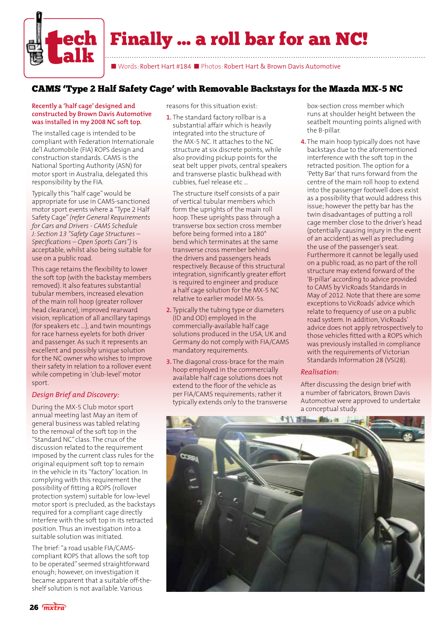

Finally ... a roll bar for an NC!

■ Words: Robert Hart #184 ■ Photos: Robert Hart & Brown Davis Automotive

## CAMS 'Type 2 Half Safety Cage' with Removable Backstays for the Mazda MX-5 NC

## **Recently a 'half cage' designed and constructed by Brown Davis Automotive was installed in my 2008 NC soft top.**

The installed cage is intended to be compliant with Federation Internationale de'l Automobile (FIA) ROPS design and construction standards. CAMS is the National Sporting Authority (ASN) for motor sport in Australia, delegated this responsibility by the FIA.

Typically this "half cage" would be appropriate for use in CAMS-sanctioned motor sport events where a "Type 2 Half Safety Cage" *(refer General Requirements for Cars and Drivers - CAMS Schedule J: Section 13 "Safety Cage Structures – Specifications – Open Sports Cars")* is acceptable, whilst also being suitable for use on a public road.

This cage retains the flexibility to lower the soft top (with the backstay members removed). It also features substantial tubular members, increased elevation of the main roll hoop (greater rollover head clearance), improved rearward vision, replication of all ancillary tapings (for speakers etc …), and twin mountings for race harness eyelets for both driver and passenger. As such it represents an excellent and possibly unique solution for the NC owner who wishes to improve their safety in relation to a rollover event while competing in 'club-level' motor sport.

## *Design Brief and Discovery:*

During the MX-5 Club motor sport annual meeting last May an item of general business was tabled relating to the removal of the soft top in the "Standard NC" class. The crux of the discussion related to the requirement imposed by the current class rules for the original equipment soft top to remain in the vehicle in its "factory" location. In complying with this requirement the possibility of fitting a ROPS (rollover protection system) suitable for low-level motor sport is precluded, as the backstays required for a compliant cage directly interfere with the soft top in its retracted position. Thus an investigation into a suitable solution was initiated.

The brief: "a road usable FIA/CAMScompliant ROPS that allows the soft top to be operated" seemed straightforward enough; however, on investigation it became apparent that a suitable off-theshelf solution is not available. Various

reasons for this situation exist:

**1.** The standard factory rollbar is a substantial affair which is heavily integrated into the structure of the MX-5 NC. It attaches to the NC structure at six discrete points, while also providing pickup points for the seat belt upper pivots, central speakers and transverse plastic bulkhead with cubbies, fuel release etc ...

The structure itself consists of a pair of vertical tubular members which form the uprights of the main roll hoop. These uprights pass through a transverse box section cross member before being formed into a 180° bend which terminates at the same transverse cross member behind the drivers and passengers heads respectively. Because of this structural integration, significantly greater effort is required to engineer and produce a half cage solution for the MX-5 NC relative to earlier model MX-5s.

- **2.** Typically the tubing type or diameters (ID and OD) employed in the commercially-available half cage solutions produced in the USA, UK and Germany do not comply with FIA/CAMS mandatory requirements.
- **3.** The diagonal cross-brace for the main hoop employed in the commercially available half cage solutions does not extend to the floor of the vehicle as per FIA/CAMS requirements; rather it typically extends only to the transverse

box-section cross member which runs at shoulder height between the seatbelt mounting points aligned with the B-pillar.

**4.** The main hoop typically does not have backstays due to the aforementioned interference with the soft top in the retracted position. The option for a 'Petty Bar' that runs forward from the centre of the main roll hoop to extend into the passenger footwell does exist as a possibility that would address this issue; however the petty bar has the twin disadvantages of putting a roll cage member close to the driver's head (potentially causing injury in the event of an accident) as well as precluding the use of the passenger's seat. Furthermore it cannot be legally used on a public road, as no part of the roll structure may extend forward of the 'B-pillar' according to advice provided to CAMS by VicRoads Standards in May of 2012. Note that there are some exceptions to VicRoads' advice which relate to frequency of use on a public road system. In addition, VicRoads' advice does not apply retrospectively to those vehicles fitted with a ROPS which was previously installed in compliance with the requirements of Victorian Standards Information 28 (VSI28).

## *Realisation:*

After discussing the design brief with a number of fabricators, Brown Davis Automotive were approved to undertake a conceptual study.